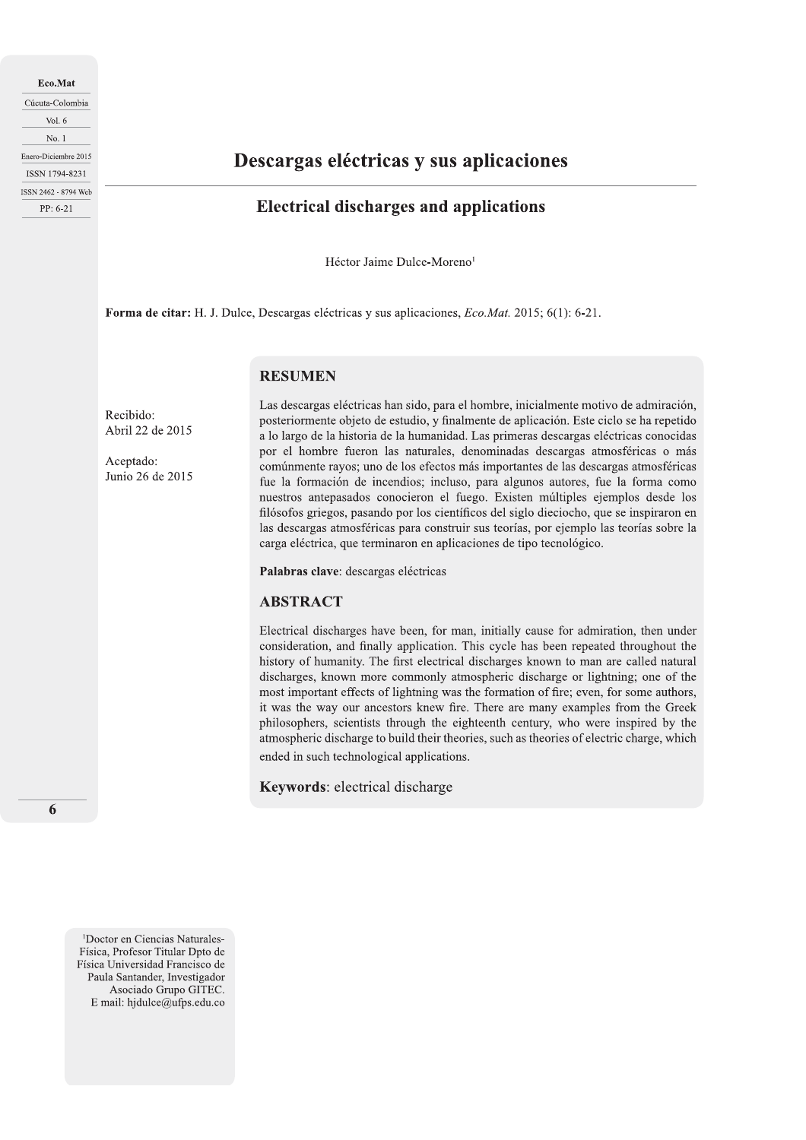Eco.Mat Cúcuta-Colombia Vol.  $6$  $No.1$ Enero-Diciembre 2015 ISSN 1794-8231 ISSN 2462 - 8794 Web PP: 6-21

# Descargas eléctricas y sus aplicaciones

# **Electrical discharges and applications**

Héctor Jaime Dulce-Moreno<sup>1</sup>

Forma de citar: H. J. Dulce, Descargas eléctricas y sus aplicaciones, Eco.Mat. 2015; 6(1): 6-21.

# **RESUMEN**

Recibido: Abril 22 de 2015

Aceptado: Junio 26 de 2015 Las descargas eléctricas han sido, para el hombre, inicialmente motivo de admiración, posteriormente objeto de estudio, y finalmente de aplicación. Este ciclo se ha repetido a lo largo de la historia de la humanidad. Las primeras descargas eléctricas conocidas por el hombre fueron las naturales, denominadas descargas atmosféricas o más comúnmente rayos; uno de los efectos más importantes de las descargas atmosféricas fue la formación de incendios; incluso, para algunos autores, fue la forma como nuestros antepasados conocieron el fuego. Existen múltiples ejemplos desde los filósofos griegos, pasando por los científicos del siglo dieciocho, que se inspiraron en las descargas atmosféricas para construir sus teorías, por ejemplo las teorías sobre la carga eléctrica, que terminaron en aplicaciones de tipo tecnológico.

Palabras clave: descargas eléctricas

# **ABSTRACT**

Electrical discharges have been, for man, initially cause for admiration, then under consideration, and finally application. This cycle has been repeated throughout the history of humanity. The first electrical discharges known to man are called natural discharges, known more commonly atmospheric discharge or lightning; one of the most important effects of lightning was the formation of fire; even, for some authors, it was the way our ancestors knew fire. There are many examples from the Greek philosophers, scientists through the eighteenth century, who were inspired by the atmospheric discharge to build their theories, such as theories of electric charge, which ended in such technological applications.

**Keywords:** electrical discharge

6

<sup>1</sup>Doctor en Ciencias Naturales-Física, Profesor Titular Dpto de Física Universidad Francisco de Paula Santander, Investigador Asociado Grupo GITEC. E mail: hjdulce@ufps.edu.co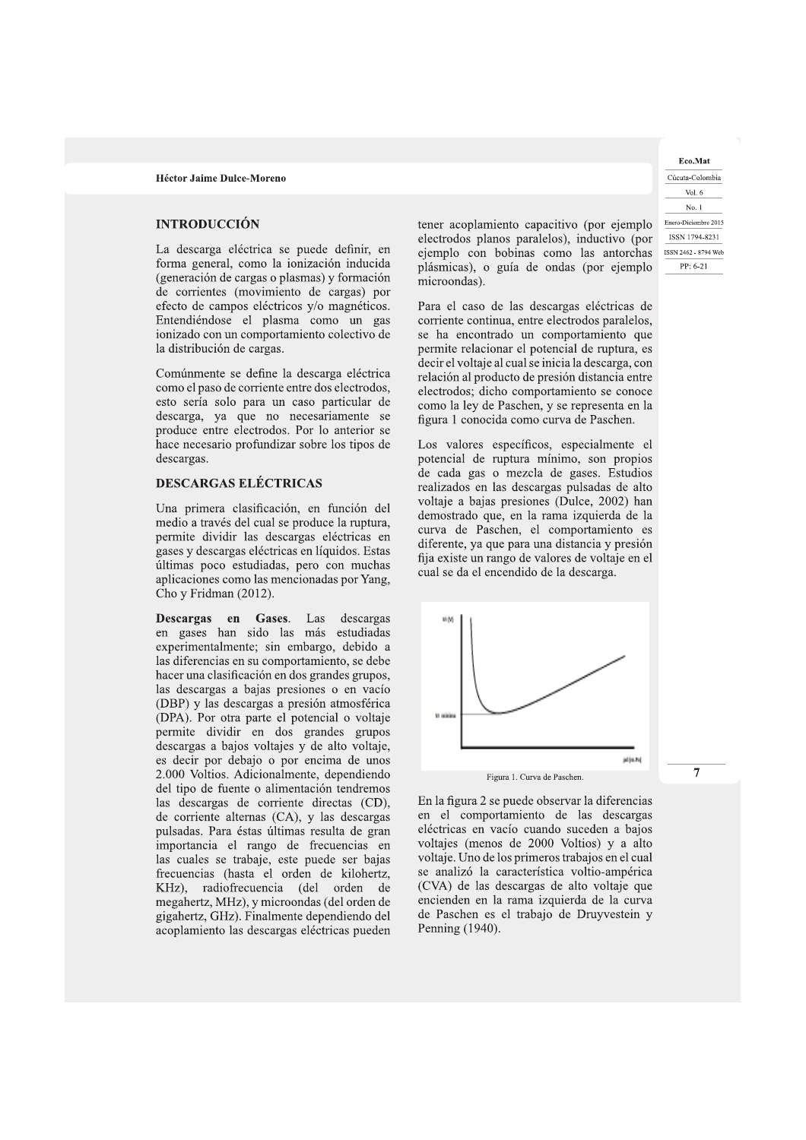**Héctor Jaime Dulce-Moreno**<br> **INTRODUCCIÓN**<br>
La descarga eléctrica se puede definir, en<br>
forma general, como la ionización inducida<br>
(generación de cargas o plasmas) y formación<br>
de corrientes (movimiento de cargas) por<br> ionizado con un comportamiento colectivo de la distribución de cargas.

Comúnmente se define la descarga eléctrica como el paso de corriente entre dos electrodos, esto sería solo para un caso particular de descarga, ya que no necesariamente se produce entre electrodos. Por lo anterior se hace necesario profundizar sobre los tipos de descargas.

# DESCARGAS ELÉCTRICAS

Una primera clasificación, en función del medio a traves del cual se produce la ruptura, permite dividir las descargas eléctricas en gases y descargas eléctricas en líquidos. Estas ultimas poco estudiadas, pero con muchas aplicaciones como las mencionadas por Yang, Cho y Fridman (2012).

**Descargas en Gases**. Las descargas en gases han sido las más estudiadas experimentalmente; sin embargo, debido a las diferencias en su comportamiento, se debe hacer una clasificación en dos grandes grupos, las descargas a bajas presiones o en vacío (DBP) y las descargas a presión atmosférica (DPA). Por otra parte el potencial o voltaje permite dividir en dos grandes grupos descargas a bajos voltajes y de alto voltaje, es decir por debajo o por encima de unos 2.000 Voltios. Adicionalmente, dependiendo del tipo de fuente o alimentación tendremos las descargas de corriente directas (CD), de corriente alternas (CA), y las descargas pulsadas. Para éstas últimas resulta de gran importancia el rango de frecuencias en las cuales se trabaje, este puede ser bajas frecuencias (hasta el orden de kilohertz, KHz), radiofrecuencia (del orden de megahertz, MHz), y microondas (del orden de gigahertz, GHz). Finalmente dependiendo del acoplamiento las descargas eléctricas pueden

tener acoplamiento capacitivo (por ejemplo electrodos planos paralelos), inductivo (por ejemplo con bobinas como las antorchas <a>ISSN 2462-8794 Web plásmicas), o guía de ondas (por ejemplo microondas).

Para el caso de las descargas eléctricas de corriente continua, entre electrodos paralelos, se ha encontrado un comportamiento que permite relacionar el potencial de ruptura, es decir el voltaje al cual se inicia la descarga, con relación al producto de presión distancia entre electrodos; dicho comportamiento se conoce como la ley de Paschen, y se representa en la figura 1 conocida como curva de Paschen.

Los valores específicos, especialmente el potencial de ruptura minimo, son propios de cada gas o mezcla de gases. Estudios realizados en las descargas pulsadas de alto voltaje a bajas presiones (Dulce, 2002) han demostrado que, en la rama izquierda de la curva de Paschen, el comportamiento es diferente, ya que para una distancia y presión fija existe un rango de valores de voltaje en el cual se da el encendido de la descarga.



En la figura 2 se puede observar la diferencias en el comportamiento de las descargas eléctricas en vacío cuando suceden a bajos voltajes (menos de 2000 Voltios) y a alto voltaje. Uno de los primeros trabajos en el cual se analizo la característica voltio-amperica  $(CVA)$  de las descargas de alto voltaje que encienden en la rama izquierda de la curva de Paschen es el trabajo de Druyvestein y Penning (1940).

Eco.Mat Cucuta-Colombia Vol. 6 No. 1 Enero-Diciembre 2015  $PP: 6-21$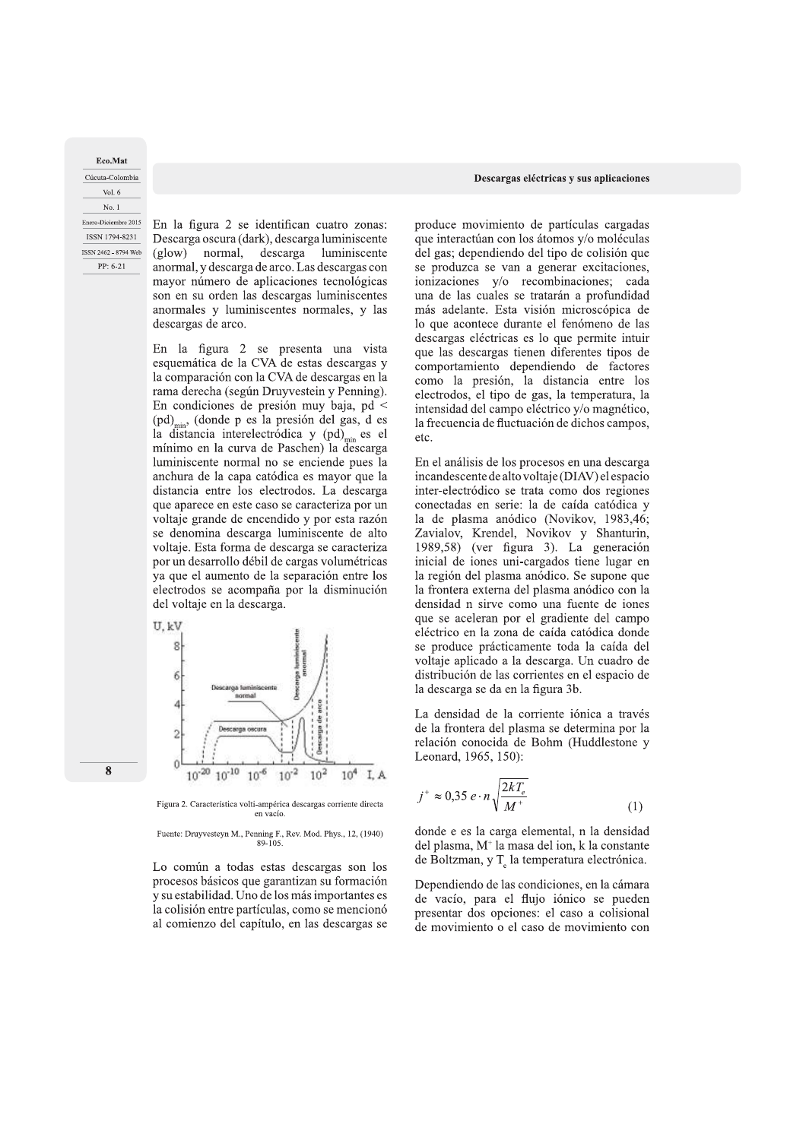Eco.Mat Cúcuta-Colombia Vol.  $6$ No. 1 Enero-Diciembre 2015 ISSN 1794-8231 ISSN 2462 - 8794 Web PP: 6-21

En la figura 2 se identifican cuatro zonas: Descarga oscura (dark), descarga luminiscente descarga  $(glow)$ normal. luminiscente anormal, y descarga de arco. Las descargas con mayor número de aplicaciones tecnológicas son en su orden las descargas luminiscentes anormales y luminiscentes normales, y las descargas de arco.

En la figura 2 se presenta una vista esquemática de la CVA de estas descargas y la comparación con la CVA de descargas en la rama derecha (según Druyvestein y Penning). En condiciones de presión muy baja, pd < (pd)<sub>min</sub>, (donde p es la presión del gas, d es la distancia interelectródica y  $(pd)_{min}$  es el mínimo en la curva de Paschen) la descarga luminiscente normal no se enciende pues la anchura de la capa catódica es mayor que la distancia entre los electrodos. La descarga que aparece en este caso se caracteriza por un voltaje grande de encendido y por esta razón se denomina descarga luminiscente de alto voltaje. Esta forma de descarga se caracteriza por un desarrollo débil de cargas volumétricas ya que el aumento de la separación entre los electrodos se acompaña por la disminución del voltaje en la descarga.



Figura 2. Característica volti-ampérica descargas corriente directa en vacío.

Fuente: Druyvesteyn M., Penning F., Rev. Mod. Phys., 12, (1940)  $89 - 105$ 

Lo común a todas estas descargas son los procesos básicos que garantizan su formación y su estabilidad. Uno de los más importantes es la colisión entre partículas, como se mencionó al comienzo del capítulo, en las descargas se

produce movimiento de partículas cargadas que interactúan con los átomos y/o moléculas del gas; dependiendo del tipo de colisión que se produzca se van a generar excitaciones, ionizaciones y/o recombinaciones; cada una de las cuales se tratarán a profundidad más adelante. Esta visión microscópica de lo que acontece durante el fenómeno de las descargas eléctricas es lo que permite intuir que las descargas tienen diferentes tipos de comportamiento dependiendo de factores como la presión, la distancia entre los electrodos, el tipo de gas, la temperatura, la intensidad del campo eléctrico y/o magnético, la frecuencia de fluctuación de dichos campos, etc.

En el análisis de los procesos en una descarga incandescente de alto voltaje (DIAV) el espacio inter-electródico se trata como dos regiones conectadas en serie: la de caída catódica y la de plasma anódico (Novikov, 1983,46; Zavialov, Krendel, Novikov y Shanturin, 1989,58) (ver figura 3). La generación inicial de iones uni-cargados tiene lugar en la región del plasma anódico. Se supone que la frontera externa del plasma anódico con la densidad n sirve como una fuente de iones que se aceleran por el gradiente del campo eléctrico en la zona de caída catódica donde se produce prácticamente toda la caída del voltaje aplicado a la descarga. Un cuadro de distribución de las corrientes en el espacio de la descarga se da en la figura 3b.

La densidad de la corriente iónica a través de la frontera del plasma se determina por la relación conocida de Bohm (Huddlestone y Leonard, 1965, 150):

$$
j^{+} \approx 0,35 e \cdot n \sqrt{\frac{2kT_e}{M^+}}
$$
 (1)

donde e es la carga elemental, n la densidad del plasma, M<sup>+</sup> la masa del ion, k la constante de Boltzman, y T<sub>e</sub> la temperatura electrónica.

Dependiendo de las condiciones, en la cámara de vacío, para el flujo iónico se pueden presentar dos opciones: el caso a colisional de movimiento o el caso de movimiento con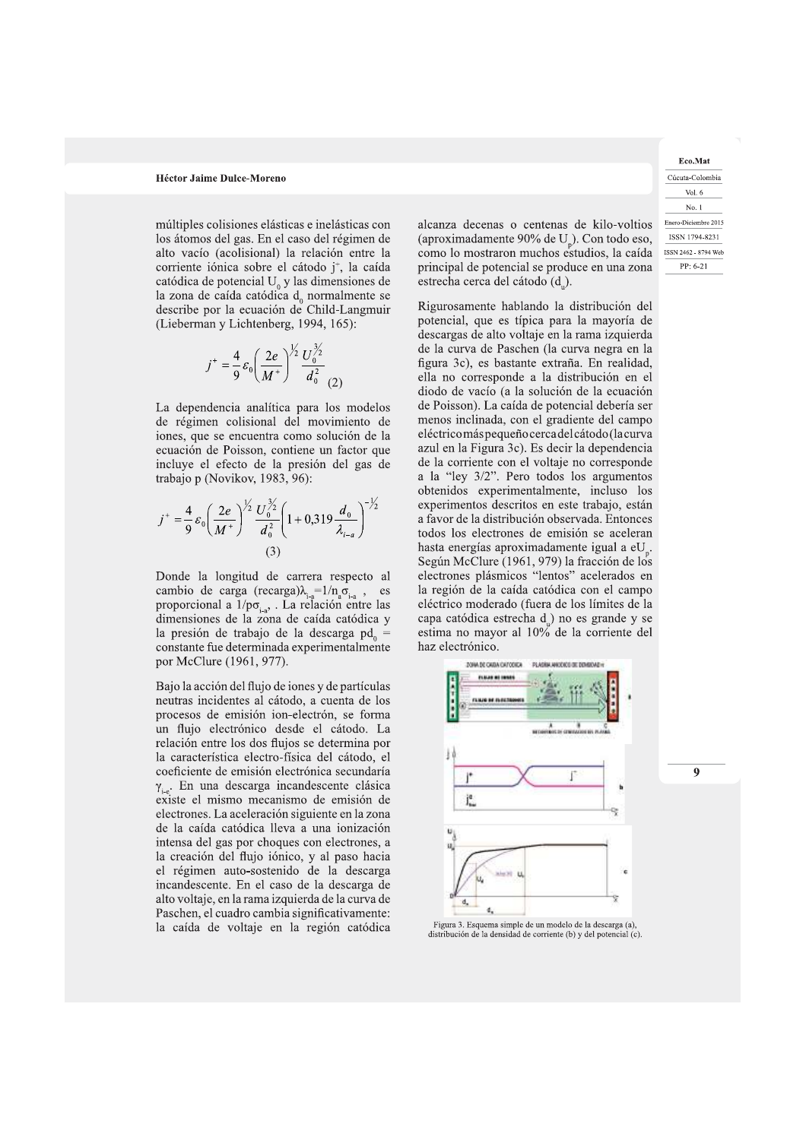múltiples colisiones elásticas e inelásticas con los átomos del gas. En el caso del régimen de alto vacío (acolisional) la relación entre la corriente iónica sobre el cátodo j<sup>+</sup>, la caída catódica de potencial  $U_0$  y las dimensiones de la zona de caída catódica  $d_0$  normalmente se describe por la ecuación de Child-Langmuir (Lieberman y Lichtenberg, 1994, 165):

$$
j^{+} = \frac{4}{9} \varepsilon_0 \left(\frac{2e}{M^{+}}\right)^{\frac{1}{2}} \frac{U_0^{\frac{3}{2}}}{d_0^2}
$$

La dependencia analítica para los modelos de régimen colisional del movimiento de iones, que se encuentra como solución de la ecuación de Poisson, contiene un factor que incluye el efecto de la presión del gas de trabajo p (Novikov, 1983, 96):

$$
j^{+} = \frac{4}{9} \varepsilon_0 \left(\frac{2e}{M^{+}}\right)^{\frac{1}{2}} \frac{U_0^{\frac{3}{2}}}{d_0^{2}} \left(1 + 0.319 \frac{d_0}{\lambda_{i-a}}\right)^{-\frac{1}{2}}
$$
\n(3)

Donde la longitud de carrera respecto al cambio de carga (recarga) $\lambda_{i-a} = 1/n_a \sigma_{i-a}$ , es proporcional a  $1/p\sigma_{A}$ . La relación entre las dimensiones de la zona de caída catódica y la presión de trabajo de la descarga pd<sub>o</sub> constante fue determinada experimentalmente por McClure (1961, 977).

Bajo la acción del flujo de iones y de partículas neutras incidentes al cátodo, a cuenta de los procesos de emisión ion-electrón, se forma un flujo electrónico desde el cátodo. La relación entre los dos flujos se determina por la característica electro-física del cátodo, el coeficiente de emisión electrónica secundaría  $\gamma_{i,e}$ . En una descarga incandescente clásica existe el mismo mecanismo de emisión de electrones. La aceleración siguiente en la zona de la caída catódica lleva a una ionización intensa del gas por choques con electrones, a la creación del flujo iónico, y al paso hacia el régimen auto-sostenido de la descarga incandescente. En el caso de la descarga de alto voltaje, en la rama izquierda de la curva de Paschen, el cuadro cambia significativamente: la caída de voltaje en la región catódica alcanza decenas o centenas de kilo-voltios (aproximadamente 90% de U). Con todo eso, como lo mostraron muchos estudios, la caída principal de potencial se produce en una zona estrecha cerca del cátodo (d).

Rigurosamente hablando la distribución del potencial, que es típica para la mayoría de descargas de alto voltaje en la rama izquierda de la curva de Paschen (la curva negra en la figura 3c), es bastante extraña. En realidad, ella no corresponde a la distribución en el diodo de vacío (a la solución de la ecuación de Poisson). La caída de potencial debería ser menos inclinada, con el gradiente del campo eléctricomás pequeño cerca del cátodo (la curva azul en la Figura 3c). Es decir la dependencia de la corriente con el voltaje no corresponde a la "ley 3/2". Pero todos los argumentos obtenidos experimentalmente, incluso los experimentos descritos en este trabajo, están a favor de la distribución observada. Entonces todos los electrones de emisión se aceleran hasta energías aproximadamente igual a eU. Según McClure (1961, 979) la fracción de los electrones plásmicos "lentos" acelerados en la región de la caída catódica con el campo eléctrico moderado (fuera de los límites de la capa catódica estrecha d<sub>u</sub>) no es grande y se estima no mayor al 10% de la corriente del haz electrónico.



Figura 3. Esquema simple de un modelo de la descarga (a). distribución de la densidad de corriente (b) y del potencial (c).

Eco.Mat Cúcuta-Colombia Vol. 6 No. 1 Enero-Diciembre 2015 ISSN 1794-8231 ISSN 2462 - 8794 Web PP: 6-21

 $\boldsymbol{Q}$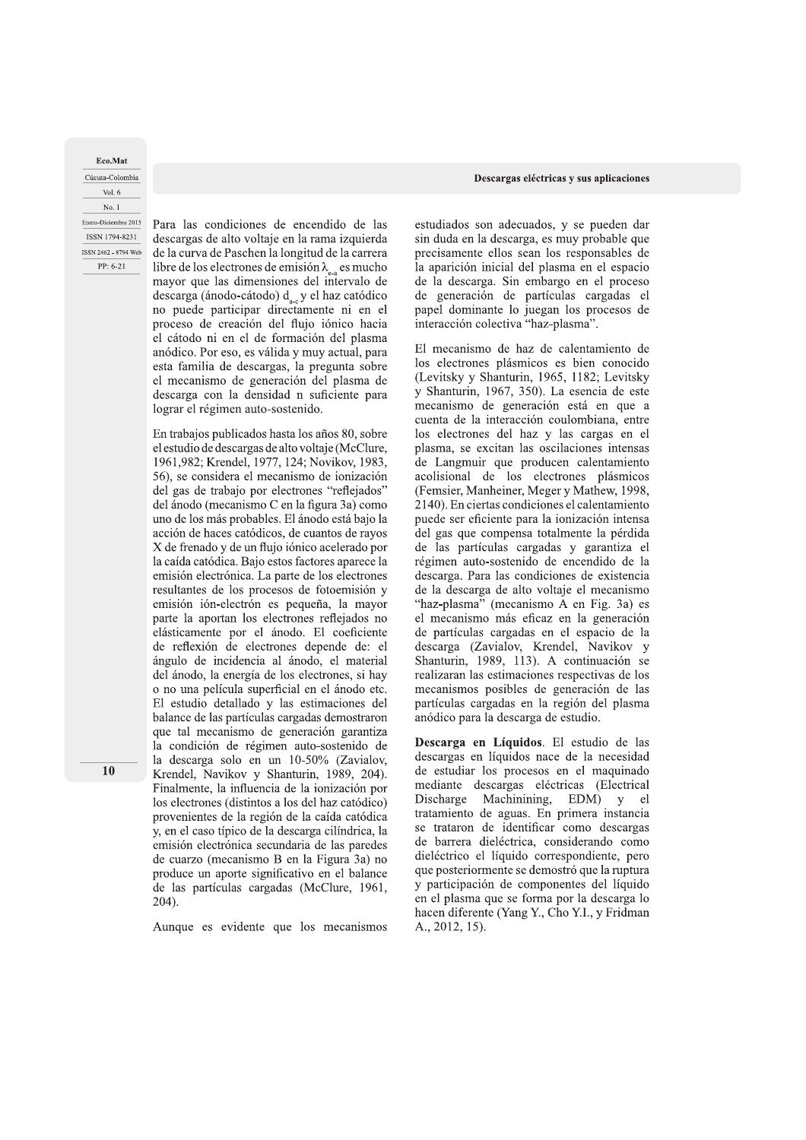Eco.Mat Cúcuta-Colombia Vol. 6 No. 1 Enero-Diciembre 2015

ISSN 1794-8231

ISSN 2462 - 8794 Web

PP: 6-21

Descargas eléctricas y sus aplicaciones

Para las condiciones de encendido de las descargas de alto voltaje en la rama izquierda de la curva de Paschen la longitud de la carrera libre de los electrones de emisión  $\lambda_{\epsilon_3}$  es mucho mayor que las dimensiones del intervalo de descarga (ánodo-cátodo)  $d_{ac}$ y el haz catódico no puede participar directamente ni en el proceso de creación del flujo iónico hacia el cátodo ni en el de formación del plasma anódico. Por eso, es válida y muy actual, para esta familia de descargas, la pregunta sobre el mecanismo de generación del plasma de descarga con la densidad n suficiente para lograr el régimen auto-sostenido.

En trabajos publicados hasta los años 80, sobre el estudio de descargas de alto voltaje (McClure, 1961, 982; Krendel, 1977, 124; Novikov, 1983, 56), se considera el mecanismo de ionización del gas de trabajo por electrones "reflejados" del ánodo (mecanismo C en la figura 3a) como uno de los más probables. El ánodo está bajo la acción de haces catódicos, de cuantos de rayos X de frenado y de un flujo iónico acelerado por la caída catódica. Bajo estos factores aparece la emisión electrónica. La parte de los electrones resultantes de los procesos de fotoemisión y emisión ión-electrón es pequeña, la mayor parte la aportan los electrones reflejados no elásticamente por el ánodo. El coeficiente de reflexión de electrones depende de: el ángulo de incidencia al ánodo, el material del ánodo, la energía de los electrones, si hay o no una película superficial en el ánodo etc. El estudio detallado y las estimaciones del balance de las partículas cargadas demostraron que tal mecanismo de generación garantiza la condición de régimen auto-sostenido de la descarga solo en un 10-50% (Zavialov, Krendel, Navikov y Shanturin, 1989, 204). Finalmente, la influencia de la ionización por los electrones (distintos a los del haz catódico) provenientes de la región de la caída catódica y, en el caso típico de la descarga cilíndrica, la emisión electrónica secundaria de las paredes de cuarzo (mecanismo B en la Figura 3a) no produce un aporte significativo en el balance de las partículas cargadas (McClure, 1961,  $204$ ).

Aunque es evidente que los mecanismos

estudiados son adecuados, y se pueden dar sin duda en la descarga, es muy probable que precisamente ellos sean los responsables de la aparición inicial del plasma en el espacio de la descarga. Sin embargo en el proceso de generación de partículas cargadas el papel dominante lo juegan los procesos de interacción colectiva "haz-plasma".

El mecanismo de haz de calentamiento de los electrones plásmicos es bien conocido (Levitsky y Shanturin, 1965, 1182; Levitsky y Shanturin, 1967, 350). La esencia de este mecanismo de generación está en que a cuenta de la interacción coulombiana, entre los electrones del haz y las cargas en el plasma, se excitan las oscilaciones intensas de Langmuir que producen calentamiento acolisional de los electrones plásmicos (Femsier, Manheiner, Meger y Mathew, 1998, 2140). En ciertas condiciones el calentamiento puede ser eficiente para la ionización intensa del gas que compensa totalmente la pérdida de las partículas cargadas y garantiza el régimen auto-sostenido de encendido de la descarga. Para las condiciones de existencia de la descarga de alto voltaje el mecanismo "haz-plasma" (mecanismo A en Fig. 3a) es el mecanismo más eficaz en la generación de partículas cargadas en el espacio de la descarga (Zavialov, Krendel, Navikov y Shanturin, 1989, 113). A continuación se realizaran las estimaciones respectivas de los mecanismos posibles de generación de las partículas cargadas en la región del plasma anódico para la descarga de estudio.

Descarga en Líquidos. El estudio de las descargas en líquidos nace de la necesidad de estudiar los procesos en el maquinado mediante descargas eléctricas (Electrical Discharge Machinining, EDM) y el tratamiento de aguas. En primera instancia se trataron de identificar como descargas de barrera dieléctrica, considerando como dieléctrico el líquido correspondiente, pero que posteriormente se demostró que la ruptura y participación de componentes del líquido en el plasma que se forma por la descarga lo hacen diferente (Yang Y., Cho Y.I., y Fridman A., 2012, 15).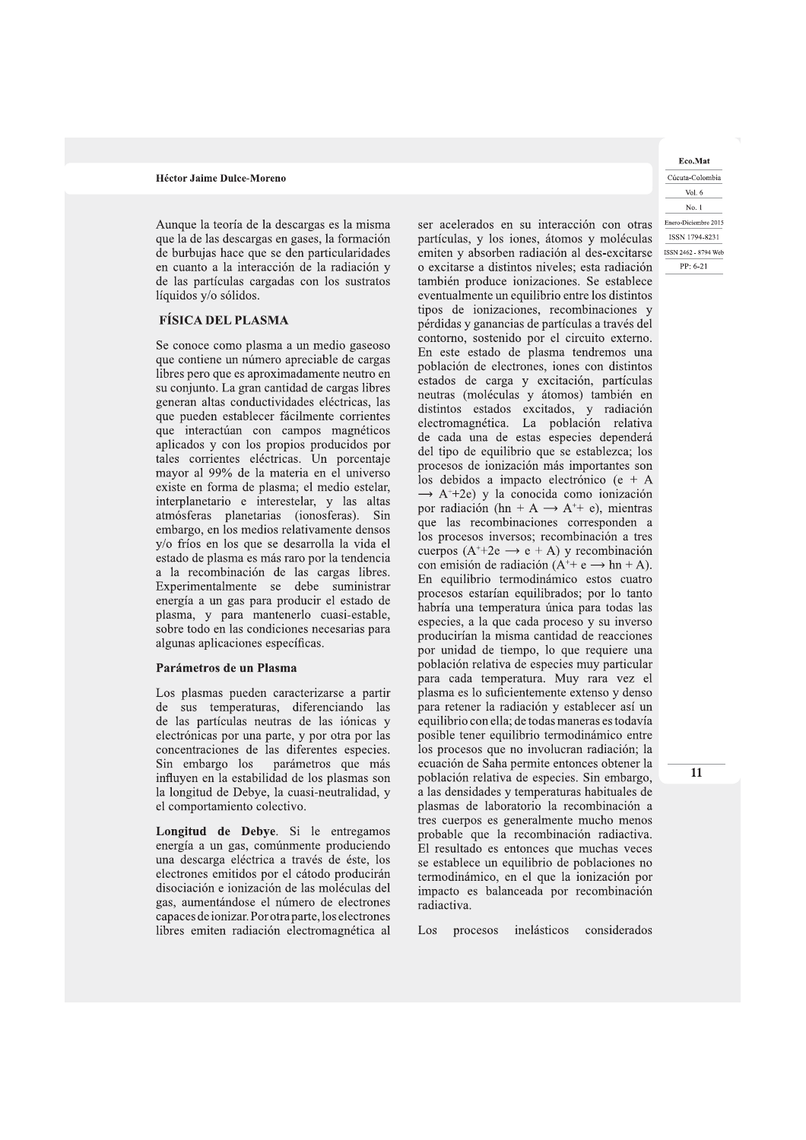Aunque la teoría de la descargas es la misma que la de las descargas en gases, la formación de burbujas hace que se den particularidades en cuanto a la interacción de la radiación y de las partículas cargadas con los sustratos líquidos y/o sólidos.

# **FÍSICA DEL PLASMA**

Se conoce como plasma a un medio gaseoso que contiene un número apreciable de cargas libres pero que es aproximadamente neutro en su conjunto. La gran cantidad de cargas libres generan altas conductividades eléctricas, las que pueden establecer fácilmente corrientes que interactúan con campos magnéticos aplicados y con los propios producidos por tales corrientes eléctricas. Un porcentaje mayor al 99% de la materia en el universo existe en forma de plasma; el medio estelar, interplanetario e interestelar, y las altas atmósferas planetarias (ionosferas). Sin embargo, en los medios relativamente densos y/o fríos en los que se desarrolla la vida el estado de plasma es más raro por la tendencia a la recombinación de las cargas libres. Experimentalmente se debe suministrar energía a un gas para producir el estado de plasma, y para mantenerlo cuasi-estable, sobre todo en las condiciones necesarias para algunas aplicaciones específicas.

## Parámetros de un Plasma

Los plasmas pueden caracterizarse a partir de sus temperaturas, diferenciando las de las partículas neutras de las iónicas y electrónicas por una parte, y por otra por las concentraciones de las diferentes especies. Sin embargo los parámetros que más influyen en la estabilidad de los plasmas son la longitud de Debye, la cuasi-neutralidad, y el comportamiento colectivo.

Longitud de Debye. Si le entregamos energía a un gas, comúnmente produciendo una descarga eléctrica a través de éste, los electrones emitidos por el cátodo producirán disociación e ionización de las moléculas del gas, aumentándose el número de electrones capaces de ionizar. Por otra parte, los electrones libres emiten radiación electromagnética al ser acelerados en su interacción con otras partículas, y los iones, átomos y moléculas emiten y absorben radiación al des-excitarse o excitarse a distintos niveles; esta radiación también produce ionizaciones. Se establece eventualmente un equilibrio entre los distintos tipos de ionizaciones, recombinaciones y pérdidas y ganancias de partículas a través del contorno, sostenido por el circuito externo. En este estado de plasma tendremos una población de electrones, iones con distintos estados de carga y excitación, partículas neutras (moléculas y átomos) también en distintos estados excitados, y radiación electromagnética. La población relativa de cada una de estas especies dependerá del tipo de equilibrio que se establezca; los procesos de ionización más importantes son los debidos a impacto electrónico (e +  $\overline{A}$  $\rightarrow$  A<sup>++</sup>2e) y la conocida como ionización por radiación (hn + A  $\rightarrow$  A<sup>++</sup> e), mientras que las recombinaciones corresponden a los procesos inversos; recombinación a tres cuerpos  $(A^+ + 2e \rightarrow e + A)$  y recombinación con emisión de radiación ( $A^+$ + e  $\rightarrow$  hn + A). En equilibrio termodinámico estos cuatro procesos estarían equilibrados; por lo tanto habría una temperatura única para todas las especies, a la que cada proceso y su inverso producirían la misma cantidad de reacciones por unidad de tiempo, lo que requiere una población relativa de especies muy particular para cada temperatura. Muy rara vez el plasma es lo suficientemente extenso y denso para retener la radiación y establecer así un equilibrio con ella; de todas maneras es todavía posible tener equilibrio termodinámico entre los procesos que no involucran radiación; la ecuación de Saha permite entonces obtener la población relativa de especies. Sin embargo, a las densidades y temperaturas habituales de plasmas de laboratorio la recombinación a tres cuerpos es generalmente mucho menos probable que la recombinación radiactiva. El resultado es entonces que muchas veces se establece un equilibrio de poblaciones no termodinámico, en el que la ionización por impacto es balanceada por recombinación radiactiva.

Los procesos inelásticos considerados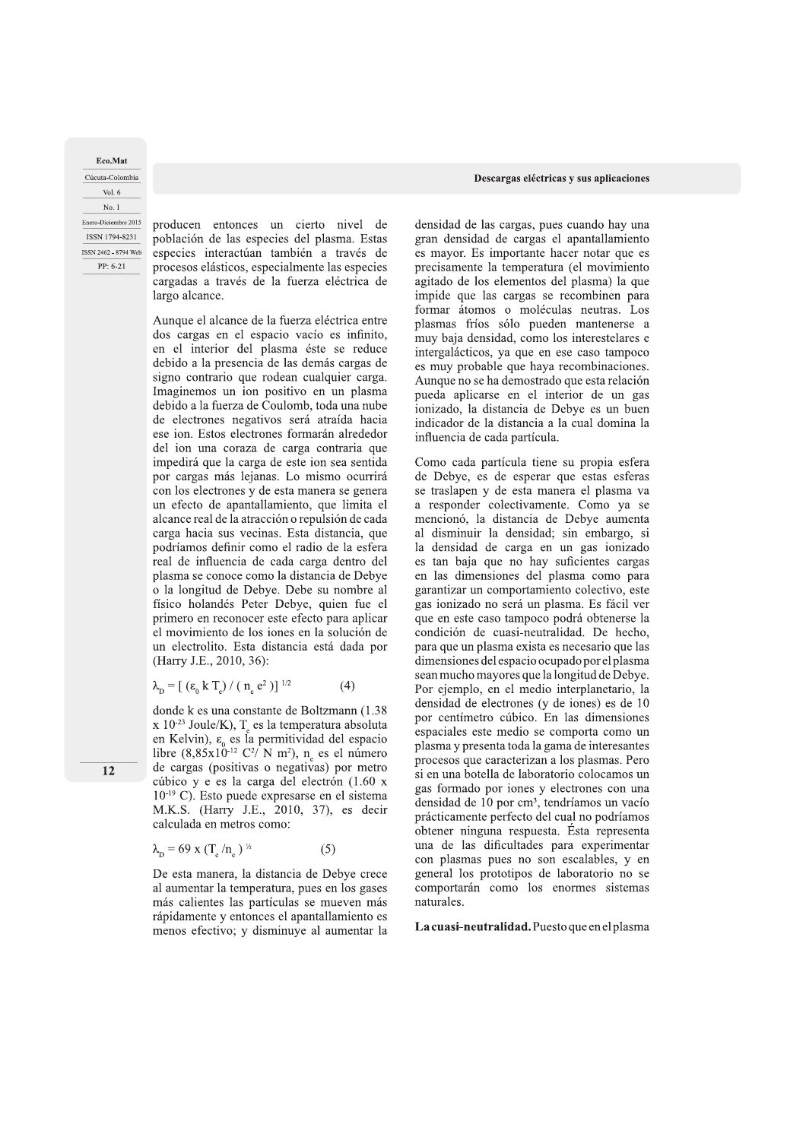**Eco.Mat** Cucuta-Colombia Vol. 6 No. 1 PP: 6-21

Cúcuta-Colombia<br>
Vol. 6<br>
No. 1<br>
Enero-Diciembre 2015<br>
ISBN 1794-8231<br>
producen entonces un cierto nivel de<br>
ISBN 1794-8231<br>
problación de las especies del plasma. Estas<br>
ssn 2462-8794 Web<br>
especies interactúan también a tr especies interactúan también a través de procesos elásticos, especialmente las especies cargadas a través de la fuerza eléctrica de largo alcance.

Aunque el alcance de la fuerza eléctrica entre dos cargas en el espacio vacío es infinito, en el interior del plasma éste se reduce debido a la presencia de las demás cargas de signo contrario que rodean cualquier carga. Imaginemos un ion positivo en un plasma debido a la fuerza de Coulomb, toda una nube de electrones negativos será atraída hacia ese ion. Estos electrones formarán alrededor del ion una coraza de carga contraria que impedirá que la carga de este ion sea sentida por cargas más lejanas. Lo mismo ocurrirá con los electrones y de esta manera se genera un efecto de apantallamiento, que limita el alcance real de la atracción o repulsión de cada carga hacia sus vecinas. Esta distancia, que podríamos definir como el radio de la esfera real de influencia de cada carga dentro del plasma se conoce como la distancia de Debye o la longitud de Debye. Debe su nombre al físico holandés Peter Debye, quien fue el primero en reconocer este efecto para aplicar el movimiento de los iones en la solución de un electrolito. Esta distancia está dada por (Harry J.E., 2010, 36):

$$
\lambda_{\rm p} = \left[ \left( \varepsilon_{0} \, \mathrm{k} \, \mathrm{T}_{\rm e} \right) / \left( \, \mathrm{n}_{\rm e} \, \mathrm{e}^{2} \, \mathrm{k} \right) \right]^{1/2} \tag{4}
$$

real de imitencia de cada carga dentro del es tan baja<br>
plasma se conoce como la distancia de Debye en las dim<br>
o la longitud de Debye. Debe su nombre al garantizar y<br>
físico holandés Peter Debye, quien fue el gas ionizad libre  $(8,85x10^{-12} \text{ C}^2/\text{ N m}^2)$ , n<sub>e</sub> es el número de cargas (positivas o negativas) por metro cúbico y e es la carga del electrón  $(1.60 \times$  $10^{-19}$  C). Esto puede expresarse en el sistema M.K.S. (Harry J.E., 2010, 37), es decir calculada en metros como:

 $\lambda_{\rm p} = 69 \text{ x } (T_{\rm e}/n_{\rm e})^{\frac{1}{2}}$  (5)

De esta manera, la distancia de Debye crece al aumentar la temperatura, pues en los gases más calientes las partículas se mueven más rápidamente y entonces el apantallamiento es menos efectivo; y disminuye al aumentar la

# $\frac{1}{2}$   $\frac{1}{2}$   $\frac{1}{2}$   $\frac{1}{2}$   $\frac{1}{2}$   $\frac{1}{2}$   $\frac{1}{2}$   $\frac{1}{2}$   $\frac{1}{2}$   $\frac{1}{2}$   $\frac{1}{2}$   $\frac{1}{2}$   $\frac{1}{2}$   $\frac{1}{2}$   $\frac{1}{2}$   $\frac{1}{2}$   $\frac{1}{2}$   $\frac{1}{2}$   $\frac{1}{2}$   $\frac{1}{2}$   $\frac{1}{2}$   $\frac{1}{2}$   $\$

densidad de las cargas, pues cuando hay una gran densidad de cargas el apantallamiento es mayor. Es importante hacer notar que es precisamente la temperatura (el movimiento agitado de los elementos del plasma) la que impide que las cargas se recombinen para formar átomos o moléculas neutras. Los plasmas fríos sólo pueden mantenerse a muy baja densidad, como los interestelares e intergalácticos, ya que en ese caso tampoco es muy probable que haya recombinaciones. Aunque no se ha demostrado que esta relación pueda aplicarse en el interior de un gas ionizado, la distancia de Debye es un buen indicador de la distancia a la cual domina la influencia de cada partícula.

Como cada partícula tiene su propia esfera de Debye, es de esperar que estas esferas se traslapen y de esta manera el plasma va a responder colectivamente. Como ya se mencionó, la distancia de Debye aumenta al disminuir la densidad; sin embargo, si la densidad de carga en un gas ionizado es tan baja que no hay suficientes cargas en las dimensiones del plasma como para garantizar un comportamiento colectivo, este gas ionizado no será un plasma. Es fácil ver que en este caso tampoco podrá obtenerse la condición de cuasi-neutralidad. De hecho, para que un plasma exista es necesario que las dimensiones del espacio ocupado por el plasma sean mucho mayores que la longitud de Debye. Por ejemplo, en el medio interplanetario, la densidad de electrones (y de iones) es de 10 por centimetro cubico. En las dimensiones espaciales este medio se comporta como un plasma y presenta toda la gama de interesantes procesos que caracterizan a los plasmas. Pero si en una botella de laboratorio colocamos un gas formado por iones y electrones con una densidad de 10 por cm<sup>3</sup>, tendríamos un vacío prácticamente perfecto del cual no podríamos obtener ninguna respuesta. Esta representa una de las dificultades para experimentar con plasmas pues no son escalables, y en general los prototipos de laboratorio no se comportarán como los enormes sistemas naturales.

La cuasi-neutralidad. Puesto que en el plasma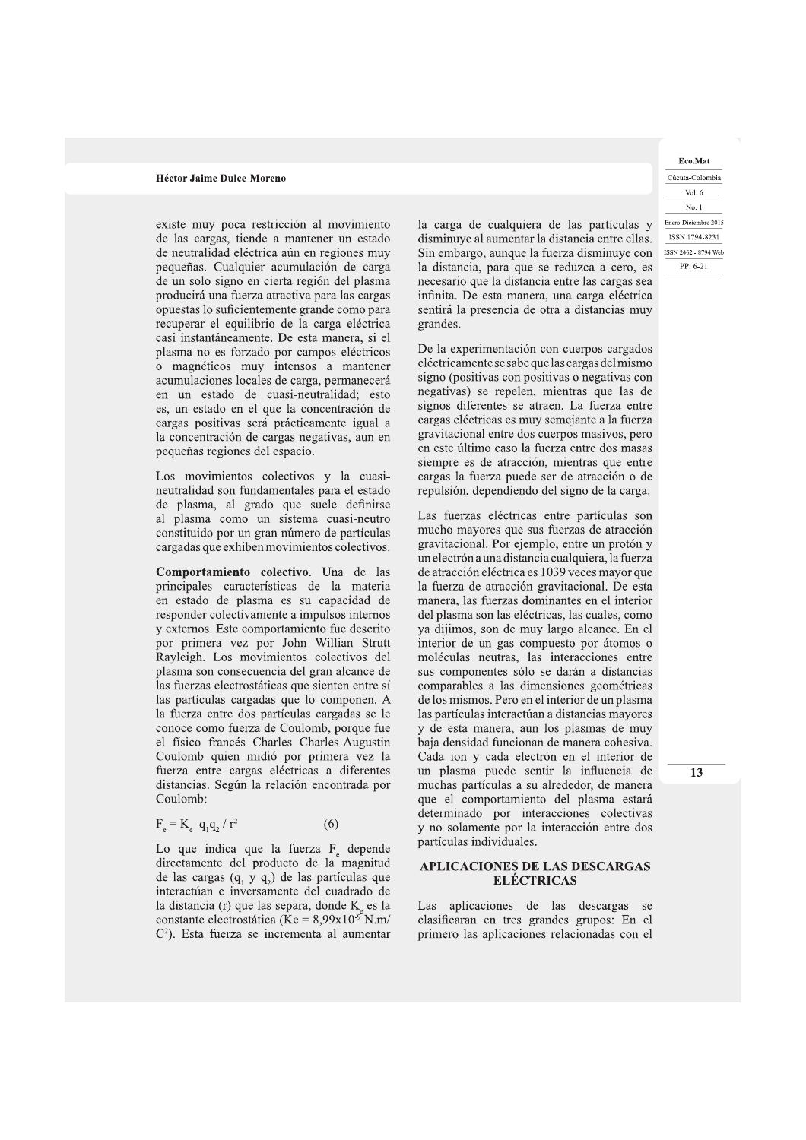existe muy poca restricción al movimiento de las cargas, tiende a mantener un estado de neutralidad eléctrica aún en regiones muy pequeñas. Cualquier acumulación de carga de un solo signo en cierta región del plasma producirá una fuerza atractiva para las cargas opuestas lo suficientemente grande como para recuperar el equilibrio de la carga eléctrica casi instantáneamente. De esta manera, si el plasma no es forzado por campos eléctricos o magnéticos muy intensos a mantener acumulaciones locales de carga, permanecerá en un estado de cuasi-neutralidad; esto es, un estado en el que la concentración de cargas positivas será prácticamente igual a la concentración de cargas negativas, aun en pequeñas regiones del espacio.

Los movimientos colectivos y la cuasineutralidad son fundamentales para el estado de plasma, al grado que suele definirse al plasma como un sistema cuasi-neutro constituido por un gran número de partículas cargadas que exhiben movimientos colectivos.

Comportamiento colectivo. Una de las principales características de la materia en estado de plasma es su capacidad de responder colectivamente a impulsos internos y externos. Este comportamiento fue descrito por primera vez por John Willian Strutt Rayleigh. Los movimientos colectivos del plasma son consecuencia del gran alcance de las fuerzas electrostáticas que sienten entre sí las partículas cargadas que lo componen. A la fuerza entre dos partículas cargadas se le conoce como fuerza de Coulomb, porque fue el físico francés Charles Charles-Augustin Coulomb quien midió por primera vez la fuerza entre cargas eléctricas a diferentes distancias. Según la relación encontrada por Coulomb:

$$
F_e = K_e \, q_1 q_2 / r^2 \tag{6}
$$

Lo que indica que la fuerza  $F_e$  depende directamente del producto de la magnitud de las cargas  $(q_1 \ y \ q_2)$  de las partículas que interactúan e inversamente del cuadrado de la distancia (r) que las separa, donde K es la constante electrostática (Ke =  $8,99x10^{-9}$  N.m/  $C<sup>2</sup>$ ). Esta fuerza se incrementa al aumentar la carga de cualquiera de las partículas y disminuye al aumentar la distancia entre ellas. Sin embargo, aunque la fuerza disminuye con la distancia, para que se reduzca a cero, es necesario que la distancia entre las cargas sea infinita. De esta manera, una carga eléctrica sentirá la presencia de otra a distancias muy grandes.

De la experimentación con cuerpos cargados eléctricamente se sabe que las cargas del mismo signo (positivas con positivas o negativas con negativas) se repelen, mientras que las de signos diferentes se atraen. La fuerza entre cargas eléctricas es muy semejante a la fuerza gravitacional entre dos cuerpos masivos, pero en este último caso la fuerza entre dos masas siempre es de atracción, mientras que entre cargas la fuerza puede ser de atracción o de repulsión, dependiendo del signo de la carga.

Las fuerzas eléctricas entre partículas son mucho mayores que sus fuerzas de atracción gravitacional. Por ejemplo, entre un protón y un electrón a una distancia cualquiera, la fuerza de atracción eléctrica es 1039 veces mayor que la fuerza de atracción gravitacional. De esta manera, las fuerzas dominantes en el interior del plasma son las eléctricas, las cuales, como ya dijimos, son de muy largo alcance. En el interior de un gas compuesto por átomos o moléculas neutras, las interacciones entre sus componentes sólo se darán a distancias comparables a las dimensiones geométricas de los mismos. Pero en el interior de un plasma las partículas interactúan a distancias mayores y de esta manera, aun los plasmas de muy baja densidad funcionan de manera cohesiva. Cada ion y cada electrón en el interior de un plasma puede sentir la influencia de muchas partículas a su alrededor, de manera que el comportamiento del plasma estará determinado por interacciones colectivas y no solamente por la interacción entre dos partículas individuales.

# **APLICACIONES DE LAS DESCARGAS ELECTRICAS**

Las aplicaciones de las descargas se clasificaran en tres grandes grupos: En el primero las aplicaciones relacionadas con el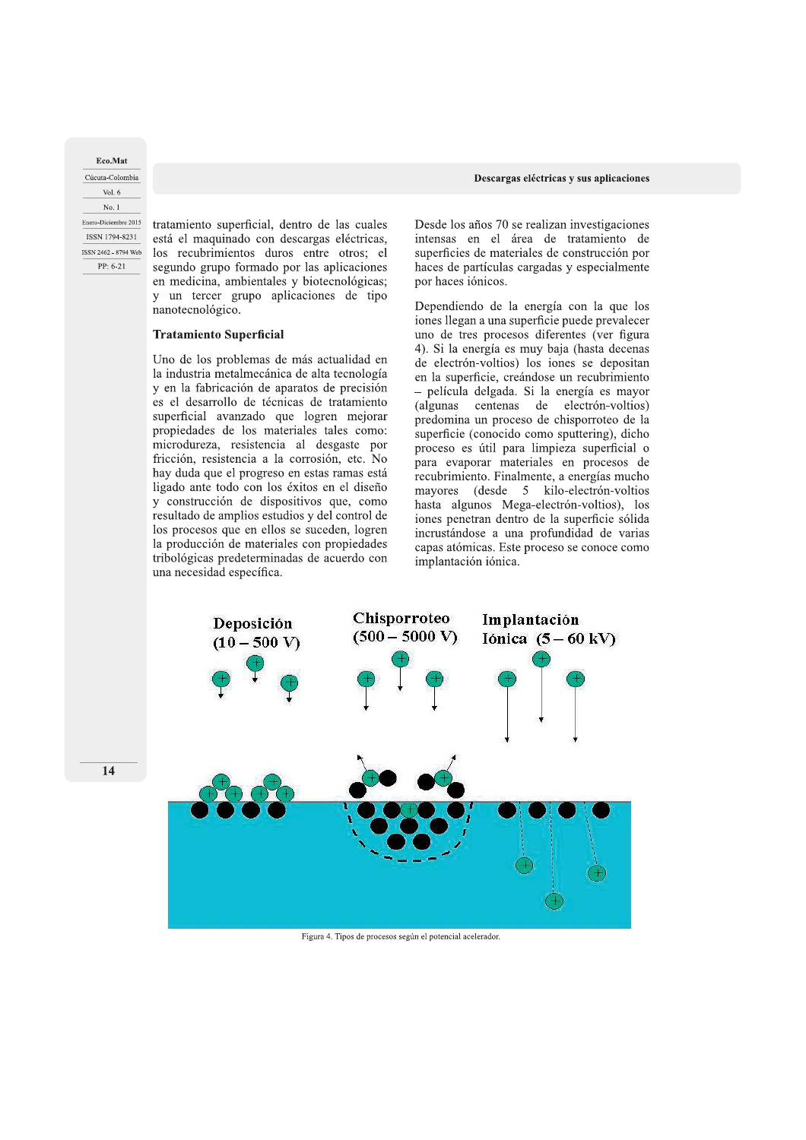**Eco.Mat** Cucuta-Colombia Vol. 6 No. 1 PP: 6-21

Cúcuta-Colombia<br>
Vol. 6<br>
No. 1<br>
Enero-Diciembre 2015<br>
ESN 1794-8231<br>
está el maquinado con descargas eléctricas,<br>
ISSN 2462-8794 Web<br>
los recubrimientos duros entre otros; el<br>
PP: 6-21 segundo grupo formado por las aplicac

# Tratamiento Superficial

Uno de los problemas de más actualidad en la industria metalmecánica de alta tecnología y en la fabricación de aparatos de precisión es el desarrollo de técnicas de tratamiento superficial avanzado que logren mejorar propiedades de los materiales tales como: microdureza, resistencia al desgaste por fricción, resistencia a la corrosión, etc. No hay duda que el progreso en estas ramas está ligado ante todo con los éxitos en el diseño y construcción de dispositivos que, como resultado de amplios estudios y del control de los procesos que en ellos se suceden, logren la producción de materiales con propiedades tribológicas predeterminadas de acuerdo con una necesidad específica.

Desde los años 70 se realizan investigaciones intensas en el área de tratamiento de superficies de materiales de construcción por haces de partículas cargadas y especialmente por haces iónicos.

Dependiendo de la energía con la que los iones llegan a una superficie puede prevalecer uno de tres procesos diferentes (ver figura 4). Si la energía es muy baja (hasta decenas de electrón-voltios) los iones se depositan en la superficie, creándose un recubrimiento - película delgada. Si la energía es mayor (algunas centenas de electrón-voltios) predomina un proceso de chisporroteo de la superficie (conocido como sputtering), dicho proceso es útil para limpieza superficial o para evaporar materiales en procesos de recubrimiento. Finalmente, a energías mucho mayores (desde 5 kilo-electrón-voltios hasta algunos Mega-electrón-voltios), los iones penetran dentro de la superficie sólida incrustándose a una profundidad de varias capas atómicas. Este proceso se conoce como implantación iónica.



Figura 4. Tipos de procesos según el potencial acelerador.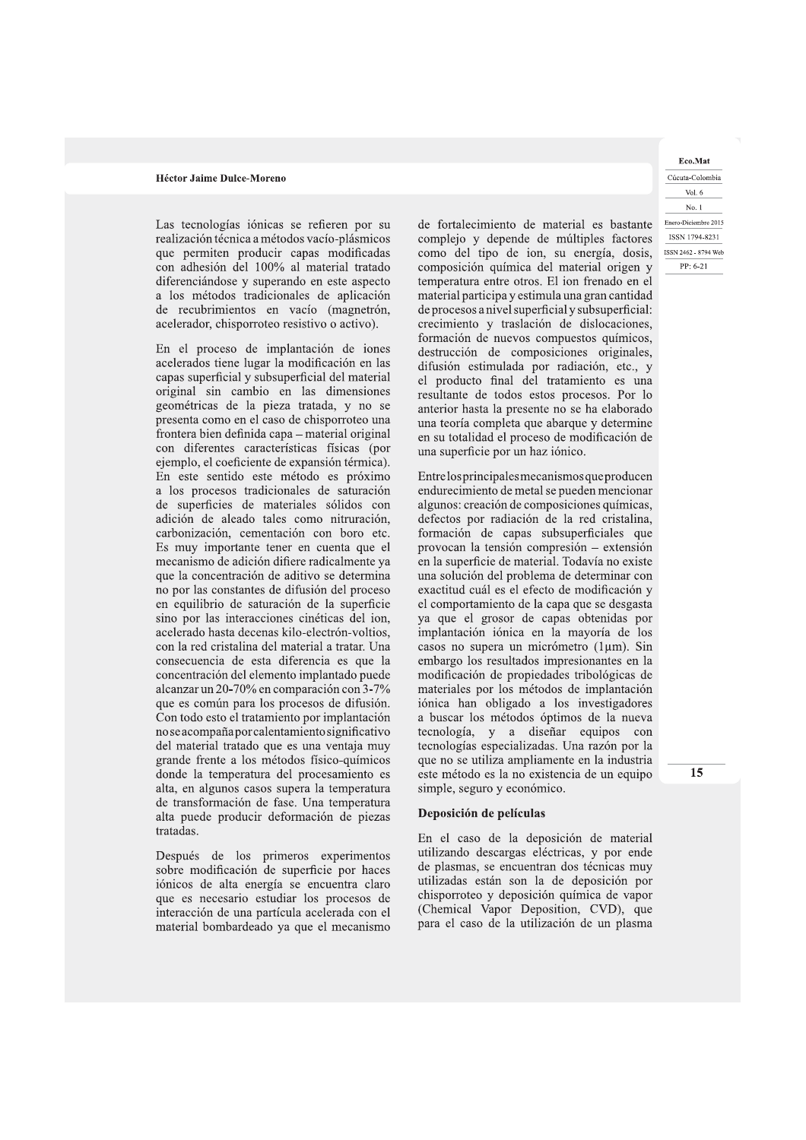Las tecnologías iónicas se refieren por su realización técnica a métodos vacío-plásmicos que permiten producir capas modificadas con adhesión del 100% al material tratado diferenciándose y superando en este aspecto a los métodos tradicionales de aplicación de recubrimientos en vacío (magnetrón, acelerador, chisporroteo resistivo o activo).

En el proceso de implantación de iones acelerados tiene lugar la modificación en las capas superficial y subsuperficial del material original sin cambio en las dimensiones geométricas de la pieza tratada, y no se presenta como en el caso de chisporroteo una frontera bien definida capa – material original con diferentes características físicas (por ejemplo, el coeficiente de expansión térmica). En este sentido este método es próximo a los procesos tradicionales de saturación de superficies de materiales sólidos con adición de aleado tales como nitruración, carbonización, cementación con boro etc. Es muy importante tener en cuenta que el mecanismo de adición difiere radicalmente ya que la concentración de aditivo se determina no por las constantes de difusión del proceso en equilibrio de saturación de la superficie sino por las interacciones cinéticas del ion, acelerado hasta decenas kilo-electrón-voltios, con la red cristalina del material a tratar. Una consecuencia de esta diferencia es que la concentración del elemento implantado puede alcanzar un 20-70% en comparación con 3-7% que es común para los procesos de difusión. Con todo esto el tratamiento por implantación no se acompaña por calentamiento significativo del material tratado que es una ventaja muy grande frente a los métodos físico-químicos donde la temperatura del procesamiento es alta, en algunos casos supera la temperatura de transformación de fase. Una temperatura alta puede producir deformación de piezas tratadas.

Después de los primeros experimentos sobre modificación de superficie por haces iónicos de alta energía se encuentra claro que es necesario estudiar los procesos de interacción de una partícula acelerada con el material bombardeado ya que el mecanismo de fortalecimiento de material es bastante complejo y depende de múltiples factores como del tipo de ion, su energía, dosis, composición química del material origen y temperatura entre otros. El ion frenado en el material participa y estimula una gran cantidad de procesos a nivel superficial y subsuperficial: crecimiento y traslación de dislocaciones, formación de nuevos compuestos químicos, destrucción de composiciones originales, difusión estimulada por radiación, etc., y el producto final del tratamiento es una resultante de todos estos procesos. Por lo anterior hasta la presente no se ha elaborado una teoría completa que abarque y determine en su totalidad el proceso de modificación de una superficie por un haz iónico.

Entrelosprincipales mecanismos que producen endurecimiento de metal se pueden mencionar algunos: creación de composiciones químicas, defectos por radiación de la red cristalina, formación de capas subsuperficiales que provocan la tensión compresión – extensión en la superficie de material. Todavía no existe una solución del problema de determinar con exactitud cuál es el efecto de modificación y el comportamiento de la capa que se desgasta ya que el grosor de capas obtenidas por implantación iónica en la mayoría de los casos no supera un micrómetro (1 $\mu$ m). Sin embargo los resultados impresionantes en la modificación de propiedades tribológicas de materiales por los métodos de implantación iónica han obligado a los investigadores a buscar los métodos óptimos de la nueva tecnología, y a diseñar equipos con tecnologías especializadas. Una razón por la que no se utiliza ampliamente en la industria este método es la no existencia de un equipo simple, seguro y económico.

# Deposición de películas

En el caso de la deposición de material utilizando descargas eléctricas, y por ende de plasmas, se encuentran dos técnicas muy utilizadas están son la de deposición por chisporroteo y deposición química de vapor (Chemical Vapor Deposition, CVD), que para el caso de la utilización de un plasma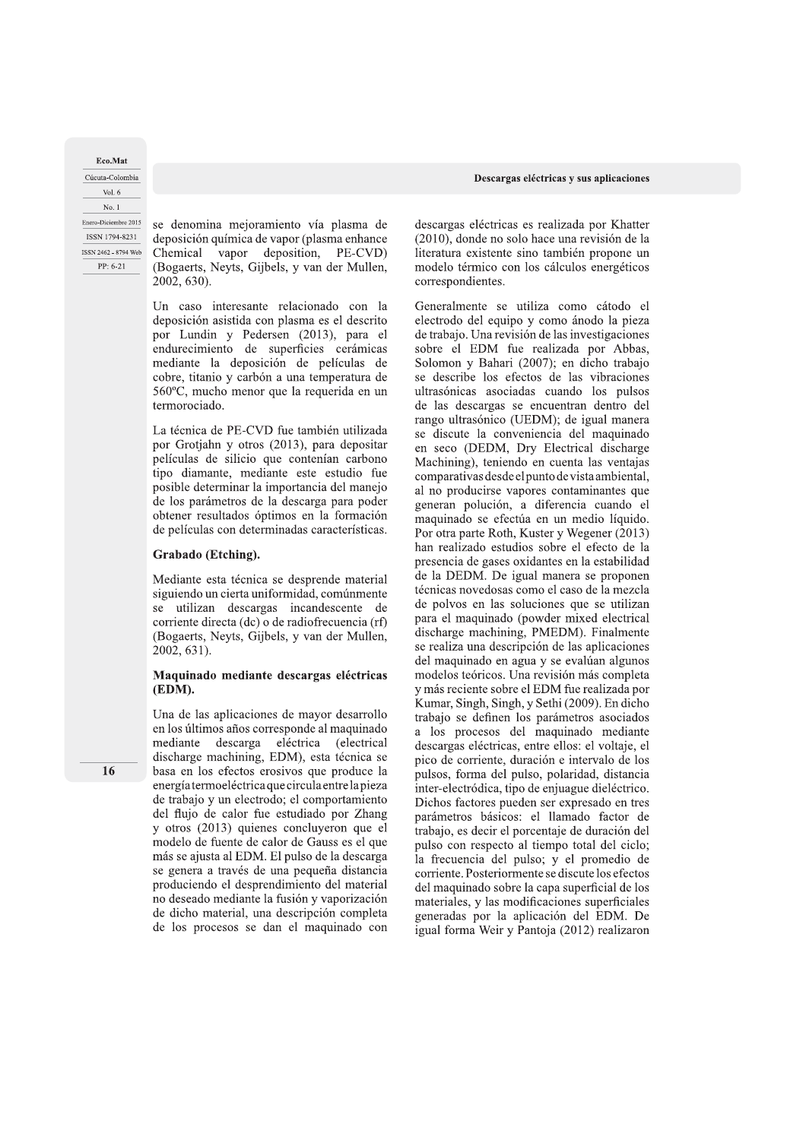Eco.Mat Cúcuta-Colombia Vol. 6 No. 1 Enero-Diciembre 2015 ISSN 1794-8231 ISSN 2462 - 8794 Web

PP: 6-21

se denomina mejoramiento vía plasma de deposición química de vapor (plasma enhance Chemical vapor deposition, PE-CVD) (Bogaerts, Neyts, Gijbels, y van der Mullen, 2002, 630).

Un caso interesante relacionado con la deposición asistida con plasma es el descrito por Lundin y Pedersen (2013), para el endurecimiento de superficies cerámicas mediante la deposición de películas de cobre, titanio y carbón a una temperatura de 560°C, mucho menor que la requerida en un termorociado.

La técnica de PE-CVD fue también utilizada por Grotjahn y otros (2013), para depositar películas de silicio que contenían carbono tipo diamante, mediante este estudio fue posible determinar la importancia del manejo de los parámetros de la descarga para poder obtener resultados óptimos en la formación de películas con determinadas características.

# Grabado (Etching).

Mediante esta técnica se desprende material siguiendo un cierta uniformidad, comúnmente se utilizan descargas incandescente de corriente directa (dc) o de radiofrecuencia (rf) (Bogaerts, Neyts, Gijbels, y van der Mullen, 2002, 631).

Maquinado mediante descargas eléctricas (EDM).

Una de las aplicaciones de mayor desarrollo en los últimos años corresponde al maquinado mediante descarga eléctrica (electrical discharge machining, EDM), esta técnica se basa en los efectos erosivos que produce la energía termoeléctrica que circula entre la pieza de trabajo y un electrodo; el comportamiento del flujo de calor fue estudiado por Zhang y otros (2013) quienes concluyeron que el modelo de fuente de calor de Gauss es el que más se ajusta al EDM. El pulso de la descarga se genera a través de una pequeña distancia produciendo el desprendimiento del material no deseado mediante la fusión y vaporización de dicho material, una descripción completa de los procesos se dan el maquinado con descargas eléctricas es realizada por Khatter (2010), donde no solo hace una revisión de la literatura existente sino también propone un modelo térmico con los cálculos energéticos correspondientes.

Generalmente se utiliza como cátodo el electrodo del equipo y como ánodo la pieza de trabajo. Una revisión de las investigaciones sobre el EDM fue realizada por Abbas, Solomon y Bahari (2007); en dicho trabajo se describe los efectos de las vibraciones ultrasónicas asociadas cuando los pulsos de las descargas se encuentran dentro del rango ultrasónico (UEDM); de igual manera se discute la conveniencia del maquinado en seco (DEDM, Dry Electrical discharge Machining), teniendo en cuenta las ventajas comparativas desde el punto de vista ambiental, al no producirse vapores contaminantes que generan polución, a diferencia cuando el maquinado se efectúa en un medio líquido. Por otra parte Roth, Kuster y Wegener (2013) han realizado estudios sobre el efecto de la presencia de gases oxidantes en la estabilidad de la DEDM. De igual manera se proponen técnicas novedosas como el caso de la mezcla de polvos en las soluciones que se utilizan para el maquinado (powder mixed electrical discharge machining, PMEDM). Finalmente se realiza una descripción de las aplicaciones del maquinado en agua y se evalúan algunos modelos teóricos. Una revisión más completa y más reciente sobre el EDM fue realizada por Kumar, Singh, Singh, y Sethi (2009). En dicho trabajo se definen los parámetros asociados a los procesos del maquinado mediante descargas eléctricas, entre ellos: el voltaje, el pico de corriente, duración e intervalo de los pulsos, forma del pulso, polaridad, distancia inter-electródica, tipo de enjuague dieléctrico. Dichos factores pueden ser expresado en tres parámetros básicos: el llamado factor de trabajo, es decir el porcentaje de duración del pulso con respecto al tiempo total del ciclo; la frecuencia del pulso; y el promedio de corriente. Posteriormente se discute los efectos del maquinado sobre la capa superficial de los materiales, y las modificaciones superficiales generadas por la aplicación del EDM. De igual forma Weir y Pantoja (2012) realizaron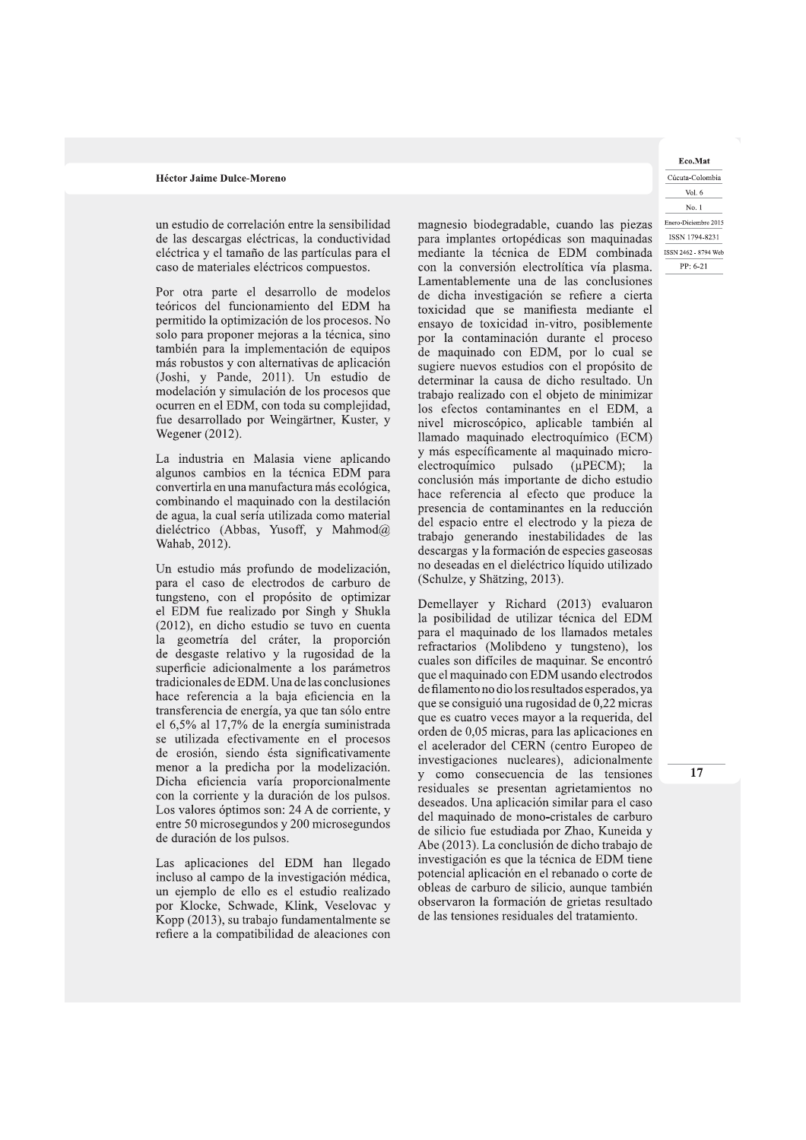un estudio de correlación entre la sensibilidad de las descargas eléctricas, la conductividad eléctrica y el tamaño de las partículas para el caso de materiales eléctricos compuestos.

Por otra parte el desarrollo de modelos teóricos del funcionamiento del EDM ha permitido la optimización de los procesos. No solo para proponer mejoras a la técnica, sino también para la implementación de equipos más robustos y con alternativas de aplicación (Joshi, y Pande, 2011). Un estudio de modelación y simulación de los procesos que ocurren en el EDM, con toda su complejidad, fue desarrollado por Weingärtner, Kuster, y Wegener (2012).

La industria en Malasia viene aplicando algunos cambios en la técnica EDM para convertirla en una manufactura más ecológica, combinando el maquinado con la destilación de agua, la cual sería utilizada como material dieléctrico (Abbas, Yusoff, y Mahmod@ Wahab, 2012).

Un estudio más profundo de modelización, para el caso de electrodos de carburo de tungsteno, con el propósito de optimizar el EDM fue realizado por Singh y Shukla (2012), en dicho estudio se tuvo en cuenta la geometría del cráter, la proporción de desgaste relativo y la rugosidad de la superficie adicionalmente a los parámetros tradicionales de EDM. Una de las conclusiones hace referencia a la baja eficiencia en la transferencia de energía, ya que tan sólo entre el 6,5% al 17,7% de la energía suministrada se utilizada efectivamente en el procesos de erosión, siendo ésta significativamente menor a la predicha por la modelización. Dicha eficiencia varía proporcionalmente con la corriente y la duración de los pulsos. Los valores óptimos son: 24 A de corriente, y entre 50 microsegundos y 200 microsegundos de duración de los pulsos.

Las aplicaciones del EDM han llegado incluso al campo de la investigación médica, un ejemplo de ello es el estudio realizado por Klocke, Schwade, Klink, Veselovac y Kopp (2013), su trabajo fundamentalmente se refiere a la compatibilidad de aleaciones con magnesio biodegradable, cuando las piezas para implantes ortopédicas son maquinadas mediante la técnica de EDM combinada con la conversión electrolítica vía plasma. Lamentablemente una de las conclusiones de dicha investigación se refiere a cierta toxicidad que se manifiesta mediante el ensayo de toxicidad in-vitro, posiblemente por la contaminación durante el proceso de maquinado con EDM, por lo cual se sugiere nuevos estudios con el propósito de determinar la causa de dicho resultado. Un trabajo realizado con el objeto de minimizar los efectos contaminantes en el EDM, a nivel microscópico, aplicable también al llamado maquinado electroquímico (ECM) y más específicamente al maquinado microelectroquímico pulsado  $(\mu$ PECM); la conclusión más importante de dicho estudio hace referencia al efecto que produce la presencia de contaminantes en la reducción del espacio entre el electrodo y la pieza de trabajo generando inestabilidades de las descargas y la formación de especies gaseosas no deseadas en el dieléctrico líquido utilizado (Schulze, y Shätzing, 2013).

Demellayer y Richard (2013) evaluaron la posibilidad de utilizar técnica del EDM para el maquinado de los llamados metales refractarios (Molibdeno y tungsteno), los cuales son difíciles de maquinar. Se encontró que el maquinado con EDM usando electrodos de filamento no dio los resultados esperados, ya que se consiguió una rugosidad de 0,22 micras que es cuatro veces mayor a la requerida, del orden de 0,05 micras, para las aplicaciones en el acelerador del CERN (centro Europeo de investigaciones nucleares), adicionalmente como consecuencia de las tensiones  $\overline{V}$ residuales se presentan agrietamientos no deseados. Una aplicación similar para el caso del maquinado de mono-cristales de carburo de silicio fue estudiada por Zhao, Kuneida y Abe (2013). La conclusión de dicho trabajo de investigación es que la técnica de EDM tiene potencial aplicación en el rebanado o corte de obleas de carburo de silicio, aunque también observaron la formación de grietas resultado de las tensiones residuales del tratamiento.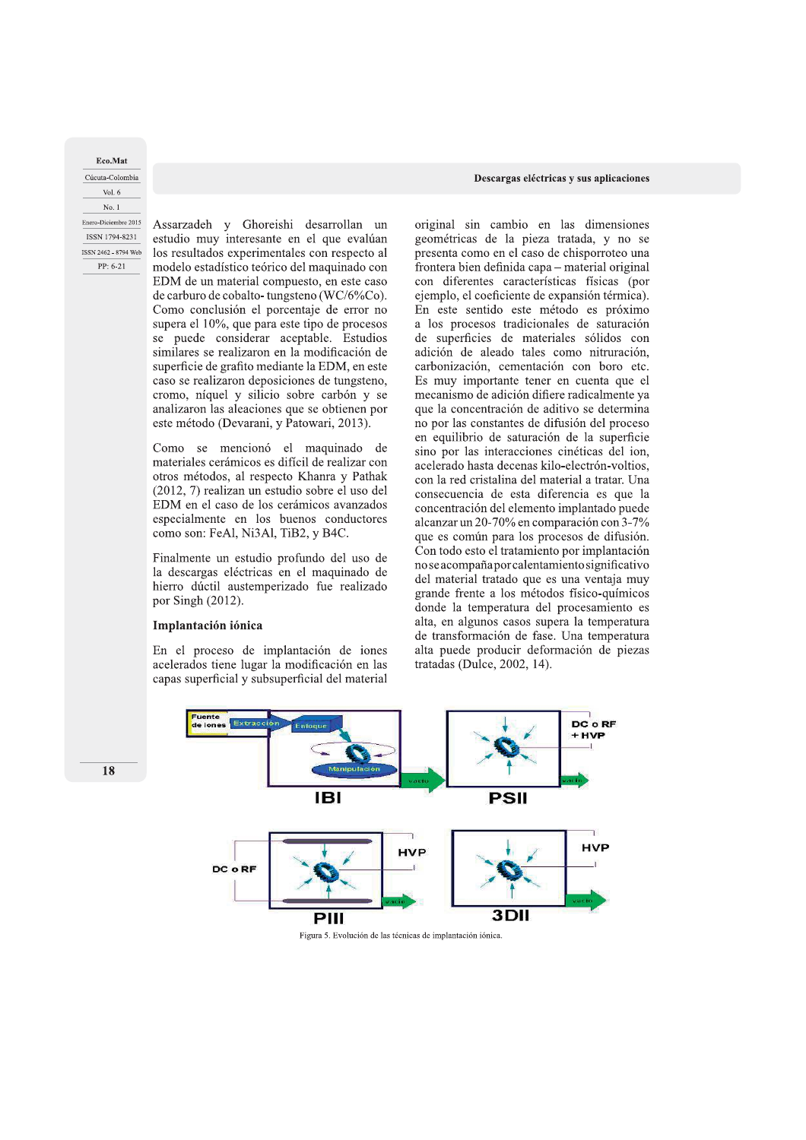Eco.Mat Cúcuta-Colombia Vol.  $6$ No. 1 Enero-Diciembre 2015 ISSN 1794-8231 ISSN 2462 - 8794 Web PP: 6-21

Assarzadeh y Ghoreishi desarrollan un estudio muy interesante en el que evalúan los resultados experimentales con respecto al modelo estadístico teórico del maquinado con EDM de un material compuesto, en este caso de carburo de cobalto-tungsteno (WC/6%Co). Como conclusión el porcentaje de error no supera el 10%, que para este tipo de procesos se puede considerar aceptable. Estudios similares se realizaron en la modificación de superficie de grafito mediante la EDM, en este caso se realizaron deposiciones de tungsteno, cromo, níquel y silicio sobre carbón y se analizaron las aleaciones que se obtienen por este método (Devarani, y Patowari, 2013).

Como se mencionó el maquinado de materiales cerámicos es difícil de realizar con otros métodos, al respecto Khanra y Pathak (2012, 7) realizan un estudio sobre el uso del EDM en el caso de los cerámicos avanzados especialmente en los buenos conductores como son: FeAl, Ni3Al, TiB2, y B4C.

Finalmente un estudio profundo del uso de la descargas eléctricas en el maquinado de hierro dúctil austemperizado fue realizado por Singh (2012).

## Implantación iónica

En el proceso de implantación de iones acelerados tiene lugar la modificación en las capas superficial y subsuperficial del material

#### Descargas eléctricas y sus aplicaciones

original sin cambio en las dimensiones geométricas de la pieza tratada, y no se presenta como en el caso de chisporroteo una frontera bien definida capa - material original con diferentes características físicas (por ejemplo, el coeficiente de expansión térmica). En este sentido este método es próximo a los procesos tradicionales de saturación de superficies de materiales sólidos con adición de aleado tales como nitruración, carbonización, cementación con boro etc. Es muy importante tener en cuenta que el mecanismo de adición difiere radicalmente ya que la concentración de aditivo se determina no por las constantes de difusión del proceso en equilibrio de saturación de la superficie sino por las interacciones cinéticas del ion, acelerado hasta decenas kilo-electrón-voltios, con la red cristalina del material a tratar. Una consecuencia de esta diferencia es que la concentración del elemento implantado puede alcanzar un 20-70% en comparación con 3-7% que es común para los procesos de difusión. Con todo esto el tratamiento por implantación no se acompaña por calentamiento significativo del material tratado que es una ventaja muy grande frente a los métodos físico-químicos donde la temperatura del procesamiento es alta, en algunos casos supera la temperatura de transformación de fase. Una temperatura alta puede producir deformación de piezas tratadas (Dulce, 2002, 14).



Figura 5. Evolución de las técnicas de implantación iónica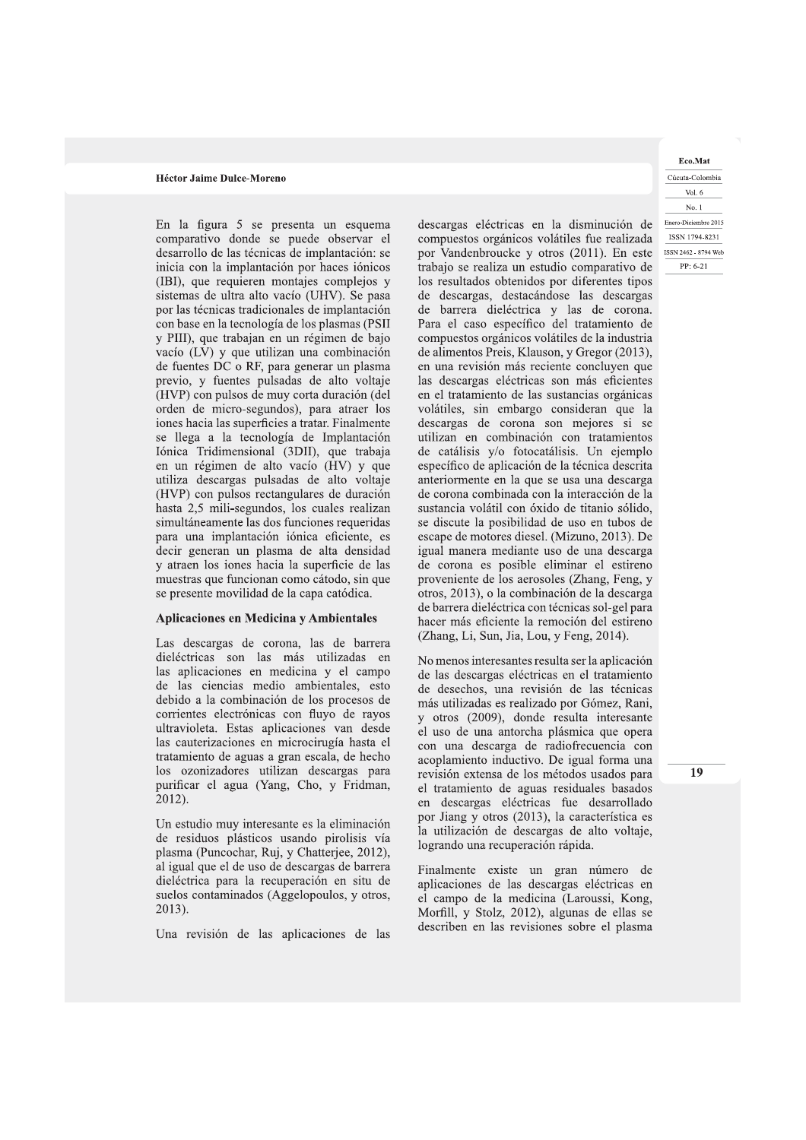con base en la tecnología de los plasmas (PSII y PIII), que trabajan en un régimen de bajo vacío (LV) y que utilizan una combinación de fuentes DC o RF, para generar un plasma previo, y fuentes pulsadas de alto voltaje (HVP) con pulsos de muy corta duración (del orden de micro-segundos), para atraer los iones hacia las superficies a tratar. Finalmente se llega a la tecnología de Implantación Iónica Tridimensional (3DII), que trabaja en un régimen de alto vacío (HV) y que utiliza descargas pulsadas de alto voltaje (HVP) con pulsos rectangulares de duración hasta 2,5 mili-segundos, los cuales realizan simultáneamente las dos funciones requeridas para una implantación iónica eficiente, es decir generan un plasma de alta densidad y atraen los iones hacia la superficie de las muestras que funcionan como cátodo, sin que se presente movilidad de la capa catódica.

#### Aplicaciones en Medicina y Ambientales

Las descargas de corona, las de barrera dieléctricas son las más utilizadas en las aplicaciones en medicina y el campo de las ciencias medio ambientales, esto debido a la combinación de los procesos de corrientes electrónicas con fluyo de rayos ultravioleta. Estas aplicaciones van desde las cauterizaciones en microcirugía hasta el tratamiento de aguas a gran escala, de hecho los ozonizadores utilizan descargas para purificar el agua (Yang, Cho, y Fridman, 2012).

Un estudio muy interesante es la eliminación de residuos plásticos usando pirolisis vía plasma (Puncochar, Ruj, y Chatterjee, 2012), al igual que el de uso de descargas de barrera dieléctrica para la recuperación en situ de suelos contaminados (Aggelopoulos, y otros, 2013).

Una revisión de las aplicaciones de las

Héctor Jaime Dulce-Moreno<br>
En la figura 5 se presenta un esquema<br>
comparativo donde se puede observar el compuestos orgánicos volátiles fue realizada<br>
desarrollo de las técnicas de implantación: se por Vandenbroucke y otr descargas eléctricas en la disminución de Enero-Diciembre 2015 compuestos orgánicos volátiles fue realizada<br>por Vandenbroucke y otros (2011) En este por Vandenbroucke y otros (2011). En este trabajo se realiza un estudio comparativo de los resultados obtenidos por diferentes tipos de descargas, destacándose las descargas de barrera dieléctrica y las de corona. Para el caso específico del tratamiento de compuestos orgánicos volátiles de la industria de alimentos Preis, Klauson, y Gregor (2013), en una revisión más reciente concluyen que las descargas eléctricas son más eficientes en el tratamiento de las sustancias orgánicas volátiles, sin embargo consideran que la descargas de corona son mejores si se utilizan en combinación con tratamientos de catálisis y/o fotocatálisis. Un ejemplo específico de aplicación de la técnica descrita anteriormente en la que se usa una descarga de corona combinada con la interacción de la sustancia volátil con óxido de titanio sólido, se discute la posibilidad de uso en tubos de escape de motores diesel. (Mizuno, 2013). De igual manera mediante uso de una descarga de corona es posible eliminar el estireno proveniente de los aerosoles (Zhang, Feng, y otros, 2013), o la combinación de la descarga de barrera dieléctrica con técnicas sol-gel para hacer más eficiente la remoción del estireno (Zhang, Li, Sun, Jia, Lou, y Feng, 2014).

> No menos interesantes resulta ser la aplicación de las descargas eléctricas en el tratamiento de desechos, una revisión de las técnicas más utilizadas es realizado por Gómez, Rani, y otros (2009), donde resulta interesante el uso de una antorcha plásmica que opera con una descarga de radiofrecuencia con acoplamiento inductivo. De igual forma una revisión extensa de los métodos usados para el tratamiento de aguas residuales basados en descargas eléctricas fue desarrollado por Jiang y otros (2013), la característica es la utilización de descargas de alto voltaje, logrando una recuperación rápida.

> Finalmente existe un gran número de aplicaciones de las descargas eléctricas en el campo de la medicina (Laroussi, Kong, Morfill, y Stolz, 2012), algunas de ellas se describen en las revisiones sobre el plasma

Eco.Mat Cucuta-Colombia Vol. 6 No. 1  $PP: 6-21$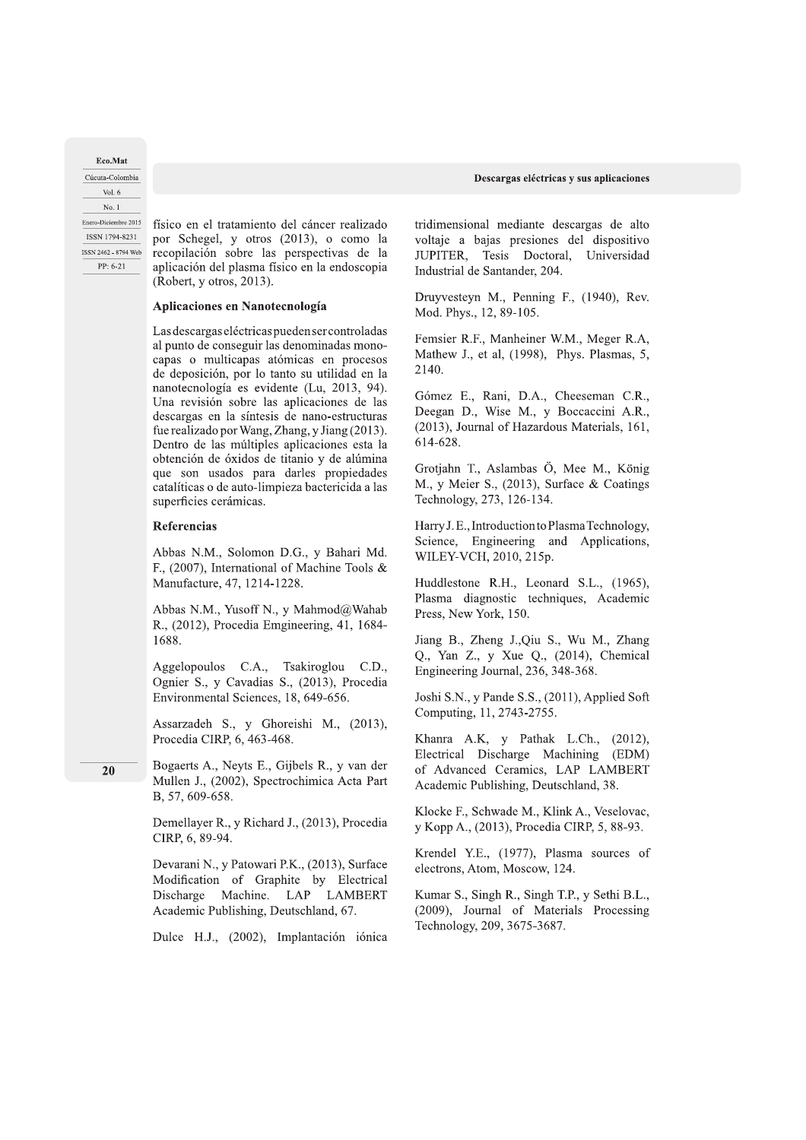Eco.Mat Cúcuta-Colombia Vol.  $6$ No. 1 Enero-Diciembre 2015 ISSN 1794-8231 ISSN 2462 - 8794 Web PP: 6-21

físico en el tratamiento del cáncer realizado por Schegel, y otros (2013), o como la recopilación sobre las perspectivas de la aplicación del plasma físico en la endoscopia (Robert, y otros, 2013).

# Aplicaciones en Nanotecnología

Las descargas eléctricas pueden ser controladas al punto de conseguir las denominadas monocapas o multicapas atómicas en procesos de deposición, por lo tanto su utilidad en la nanotecnología es evidente (Lu, 2013, 94). Una revisión sobre las aplicaciones de las descargas en la síntesis de nano-estructuras fue realizado por Wang, Zhang, y Jiang (2013). Dentro de las múltiples aplicaciones esta la obtención de óxidos de titanio y de alúmina que son usados para darles propiedades catalíticas o de auto-limpieza bactericida a las superficies cerámicas.

## Referencias

Abbas N.M., Solomon D.G., y Bahari Md. F., (2007), International of Machine Tools & Manufacture, 47, 1214-1228.

Abbas N.M., Yusoff N., y Mahmod@Wahab R., (2012), Procedia Emgineering, 41, 1684-1688.

Aggelopoulos C.A., Tsakiroglou C.D., Ognier S., y Cavadias S., (2013), Procedia Environmental Sciences, 18, 649-656.

Assarzadeh S., y Ghoreishi M., (2013), Procedia CIRP, 6, 463-468.

20

Bogaerts A., Neyts E., Gijbels R., y van der Mullen J., (2002), Spectrochimica Acta Part B, 57, 609-658.

Demellayer R., y Richard J., (2013), Procedia CIRP, 6, 89-94.

Devarani N., y Patowari P.K., (2013), Surface Modification of Graphite by Electrical Discharge Machine. LAP LAMBERT Academic Publishing, Deutschland, 67.

Dulce H.J., (2002), Implantación iónica

tridimensional mediante descargas de alto voltaje a bajas presiones del dispositivo JUPITER, Tesis Doctoral, Universidad Industrial de Santander, 204.

Druyvesteyn M., Penning F., (1940), Rev. Mod. Phys., 12, 89-105.

Femsier R.F., Manheiner W.M., Meger R.A, Mathew J., et al, (1998), Phys. Plasmas, 5, 2140.

Gómez E., Rani, D.A., Cheeseman C.R., Deegan D., Wise M., y Boccaccini A.R., (2013), Journal of Hazardous Materials, 161, 614-628.

Grotjahn T., Aslambas Ö, Mee M., König M., y Meier S., (2013), Surface & Coatings Technology, 273, 126-134.

Harry J.E., Introduction to Plasma Technology, Science, Engineering and Applications, WILEY-VCH, 2010, 215p.

Huddlestone R.H., Leonard S.L., (1965), Plasma diagnostic techniques, Academic Press, New York, 150.

Jiang B., Zheng J., Qiu S., Wu M., Zhang Q., Yan Z., y Xue Q., (2014), Chemical Engineering Journal, 236, 348-368.

Joshi S.N., y Pande S.S., (2011), Applied Soft Computing, 11, 2743-2755.

Khanra A.K, y Pathak L.Ch., (2012), Electrical Discharge Machining (EDM) of Advanced Ceramics, LAP LAMBERT Academic Publishing, Deutschland, 38.

Klocke F., Schwade M., Klink A., Veselovac, y Kopp A., (2013), Procedia CIRP, 5, 88-93.

Krendel Y.E., (1977), Plasma sources of electrons, Atom, Moscow, 124.

Kumar S., Singh R., Singh T.P., y Sethi B.L., (2009), Journal of Materials Processing Technology, 209, 3675-3687.